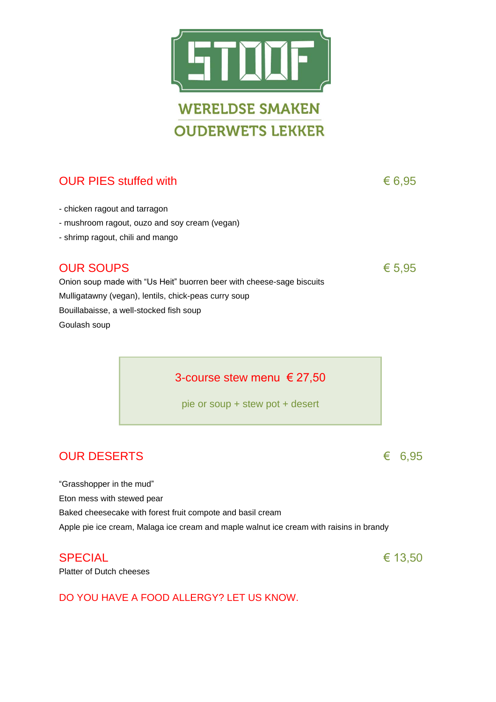

# OUR PIES stuffed with  $6.95$

- chicken ragout and tarragon
- mushroom ragout, ouzo and soy cream (vegan)
- shrimp ragout, chili and mango

# OUR SOUPS  $65,95$

Onion soup made with "Us Heit" buorren beer with cheese-sage biscuits Mulligatawny (vegan), lentils, chick-peas curry soup Bouillabaisse, a well-stocked fish soup Goulash soup

3-course stew menu € 27,50

pie or soup + stew pot + desert

# OUR DESERTS  $6.95$

"Grasshopper in the mud" Eton mess with stewed pear Baked cheesecake with forest fruit compote and basil cream Apple pie ice cream, Malaga ice cream and maple walnut ice cream with raisins in brandy

## SPECIAL  $\epsilon$  13,50

Platter of Dutch cheeses

DO YOU HAVE A FOOD ALLERGY? LET US KNOW.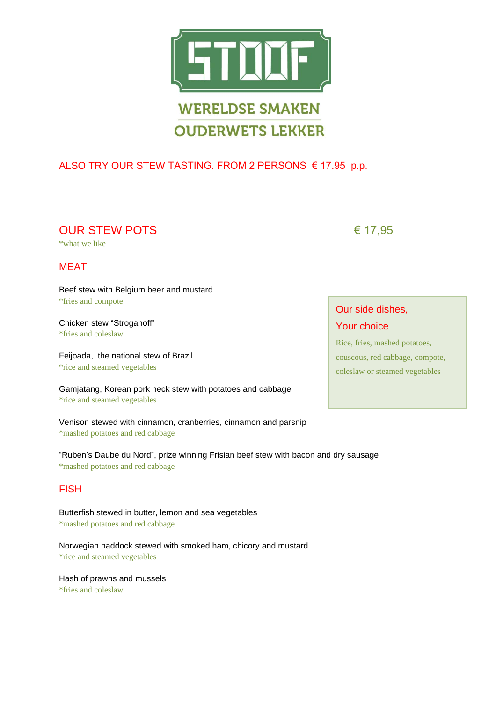

## ALSO TRY OUR STEW TASTING. FROM 2 PERSONS € 17.95 p.p.

OUR STEW POTS  $617,95$ 

\*what we like

### MEAT

Beef stew with Belgium beer and mustard \*fries and compote

Chicken stew "Stroganoff" \*fries and coleslaw

Feijoada, the national stew of Brazil \*rice and steamed vegetables

Gamjatang, Korean pork neck stew with potatoes and cabbage \*rice and steamed vegetables

Venison stewed with cinnamon, cranberries, cinnamon and parsnip \*mashed potatoes and red cabbage

"Ruben's Daube du Nord", prize winning Frisian beef stew with bacon and dry sausage \*mashed potatoes and red cabbage

### FISH

Butterfish stewed in butter, lemon and sea vegetables \*mashed potatoes and red cabbage

Norwegian haddock stewed with smoked ham, chicory and mustard \*rice and steamed vegetables

Hash of prawns and mussels \*fries and coleslaw

### Our side dishes,

### Your choice

Rice, fries, mashed potatoes, couscous, red cabbage, compote, coleslaw or steamed vegetables